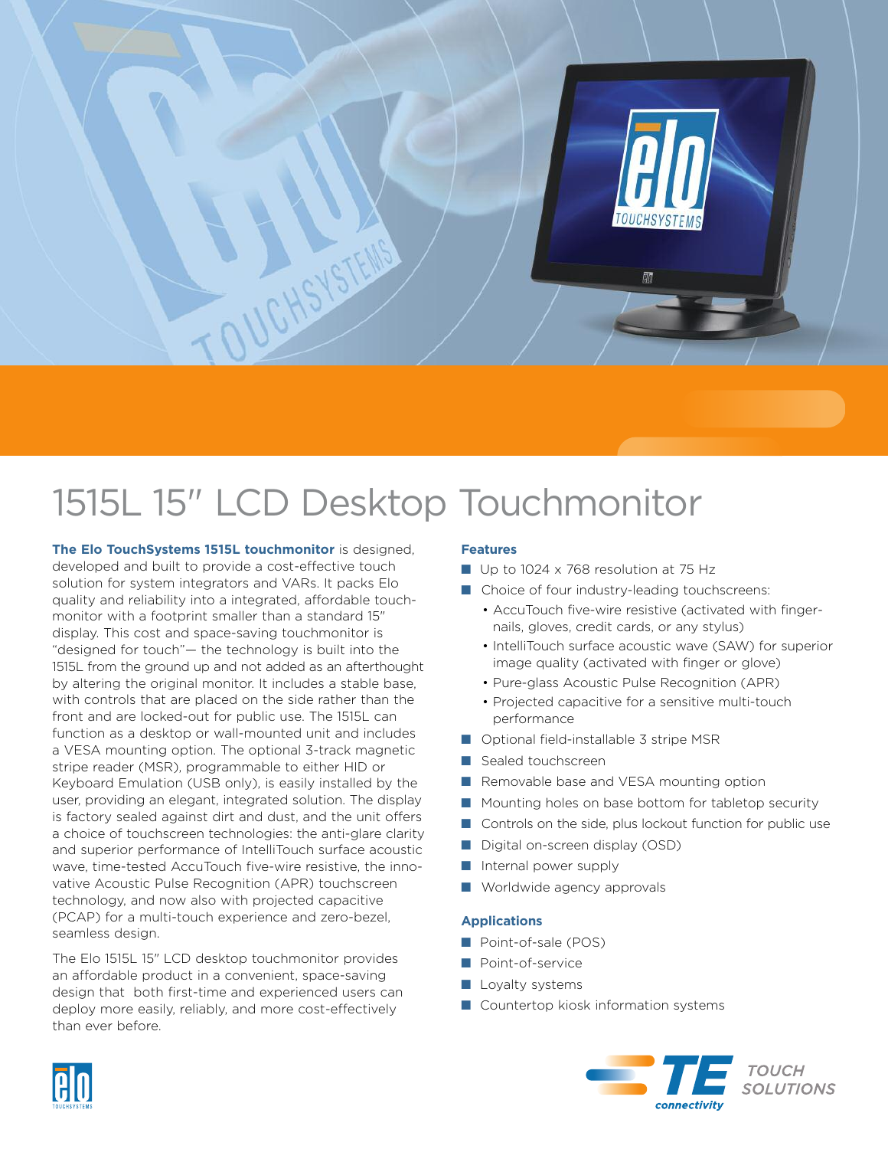

# 1515L 15" LCD Desktop Touchmonitor

**The Elo TouchSystems 1515L touchmonitor** is designed, developed and built to provide a cost-effective touch solution for system integrators and VARs. It packs Elo quality and reliability into a integrated, affordable touchmonitor with a footprint smaller than a standard 15" display. This cost and space-saving touchmonitor is "designed for touch"— the technology is built into the 1515L from the ground up and not added as an afterthought by altering the original monitor. It includes a stable base, with controls that are placed on the side rather than the front and are locked-out for public use. The 1515L can function as a desktop or wall-mounted unit and includes a VESA mounting option. The optional 3-track magnetic stripe reader (MSR), programmable to either HID or Keyboard Emulation (USB only), is easily installed by the user, providing an elegant, integrated solution. The display is factory sealed against dirt and dust, and the unit offers a choice of touchscreen technologies: the anti-glare clarity and superior performance of IntelliTouch surface acoustic wave, time-tested AccuTouch five-wire resistive, the innovative Acoustic Pulse Recognition (APR) touchscreen technology, and now also with projected capacitive (PCAP) for a multi-touch experience and zero-bezel, seamless design.

The Elo 1515L 15" LCD desktop touchmonitor provides an affordable product in a convenient, space-saving design that both first-time and experienced users can deploy more easily, reliably, and more cost-effectively than ever before.

### **Features**

- Up to 1024 x 768 resolution at 75 Hz
- Choice of four industry-leading touchscreens:
	- AccuTouch five-wire resistive (activated with fingernails, gloves, credit cards, or any stylus)
	- IntelliTouch surface acoustic wave (SAW) for superior image quality (activated with finger or glove)
	- Pure-glass Acoustic Pulse Recognition (APR)
	- Projected capacitive for a sensitive multi-touch performance
- Optional field-installable 3 stripe MSR
- Sealed touchscreen
- Removable base and VESA mounting option
- Mounting holes on base bottom for tabletop security
- Controls on the side, plus lockout function for public use
- Digital on-screen display (OSD)
- Internal power supply
- Worldwide agency approvals

#### **Applications**

- Point-of-sale (POS)
- **■** Point-of-service
- Loyalty systems
- Countertop kiosk information systems